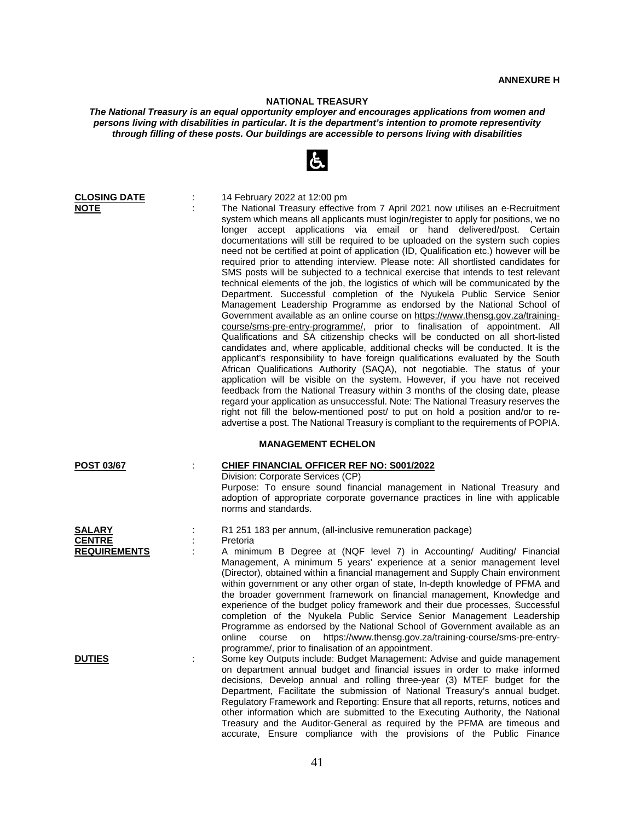## **NATIONAL TREASURY**

*The National Treasury is an equal opportunity employer and encourages applications from women and persons living with disabilities in particular. It is the department's intention to promote representivity through filling of these posts. Our buildings are accessible to persons living with disabilities*

| <b>CLOSING DATE</b><br><b>NOTE</b>                    | ÷ | 14 February 2022 at 12:00 pm<br>The National Treasury effective from 7 April 2021 now utilises an e-Recruitment<br>system which means all applicants must login/register to apply for positions, we no<br>longer accept applications via email or hand delivered/post. Certain<br>documentations will still be required to be uploaded on the system such copies<br>need not be certified at point of application (ID, Qualification etc.) however will be<br>required prior to attending interview. Please note: All shortlisted candidates for<br>SMS posts will be subjected to a technical exercise that intends to test relevant<br>technical elements of the job, the logistics of which will be communicated by the<br>Department. Successful completion of the Nyukela Public Service Senior<br>Management Leadership Programme as endorsed by the National School of<br>Government available as an online course on https://www.thensg.gov.za/training-<br>course/sms-pre-entry-programme/, prior to finalisation of appointment. All<br>Qualifications and SA citizenship checks will be conducted on all short-listed<br>candidates and, where applicable, additional checks will be conducted. It is the<br>applicant's responsibility to have foreign qualifications evaluated by the South<br>African Qualifications Authority (SAQA), not negotiable. The status of your<br>application will be visible on the system. However, if you have not received<br>feedback from the National Treasury within 3 months of the closing date, please<br>regard your application as unsuccessful. Note: The National Treasury reserves the<br>right not fill the below-mentioned post/ to put on hold a position and/or to re-<br>advertise a post. The National Treasury is compliant to the requirements of POPIA. |  |  |
|-------------------------------------------------------|---|---------------------------------------------------------------------------------------------------------------------------------------------------------------------------------------------------------------------------------------------------------------------------------------------------------------------------------------------------------------------------------------------------------------------------------------------------------------------------------------------------------------------------------------------------------------------------------------------------------------------------------------------------------------------------------------------------------------------------------------------------------------------------------------------------------------------------------------------------------------------------------------------------------------------------------------------------------------------------------------------------------------------------------------------------------------------------------------------------------------------------------------------------------------------------------------------------------------------------------------------------------------------------------------------------------------------------------------------------------------------------------------------------------------------------------------------------------------------------------------------------------------------------------------------------------------------------------------------------------------------------------------------------------------------------------------------------------------------------------------------------------------------------------------------------------------------------|--|--|
| <b>MANAGEMENT ECHELON</b>                             |   |                                                                                                                                                                                                                                                                                                                                                                                                                                                                                                                                                                                                                                                                                                                                                                                                                                                                                                                                                                                                                                                                                                                                                                                                                                                                                                                                                                                                                                                                                                                                                                                                                                                                                                                                                                                                                           |  |  |
| <b>POST 03/67</b>                                     | ÷ | <b>CHIEF FINANCIAL OFFICER REF NO: S001/2022</b><br>Division: Corporate Services (CP)<br>Purpose: To ensure sound financial management in National Treasury and<br>adoption of appropriate corporate governance practices in line with applicable<br>norms and standards.                                                                                                                                                                                                                                                                                                                                                                                                                                                                                                                                                                                                                                                                                                                                                                                                                                                                                                                                                                                                                                                                                                                                                                                                                                                                                                                                                                                                                                                                                                                                                 |  |  |
| <b>SALARY</b><br><b>CENTRE</b><br><b>REQUIREMENTS</b> | t | R1 251 183 per annum, (all-inclusive remuneration package)<br>Pretoria<br>A minimum B Degree at (NQF level 7) in Accounting/ Auditing/ Financial<br>Management, A minimum 5 years' experience at a senior management level<br>(Director), obtained within a financial management and Supply Chain environment<br>within government or any other organ of state, In-depth knowledge of PFMA and<br>the broader government framework on financial management, Knowledge and<br>experience of the budget policy framework and their due processes, Successful<br>completion of the Nyukela Public Service Senior Management Leadership<br>Programme as endorsed by the National School of Government available as an                                                                                                                                                                                                                                                                                                                                                                                                                                                                                                                                                                                                                                                                                                                                                                                                                                                                                                                                                                                                                                                                                                         |  |  |
| <b>DUTIES</b>                                         | ÷ | https://www.thensg.gov.za/training-course/sms-pre-entry-<br>online<br>course<br>on<br>programme/, prior to finalisation of an appointment.<br>Some key Outputs include: Budget Management: Advise and guide management<br>on department annual budget and financial issues in order to make informed<br>decisions, Develop annual and rolling three-year (3) MTEF budget for the<br>Department, Facilitate the submission of National Treasury's annual budget.<br>Regulatory Framework and Reporting: Ensure that all reports, returns, notices and<br>other information which are submitted to the Executing Authority, the National<br>Treasury and the Auditor-General as required by the PFMA are timeous and<br>accurate, Ensure compliance with the provisions of the Public Finance                                                                                                                                                                                                                                                                                                                                                                                                                                                                                                                                                                                                                                                                                                                                                                                                                                                                                                                                                                                                                               |  |  |

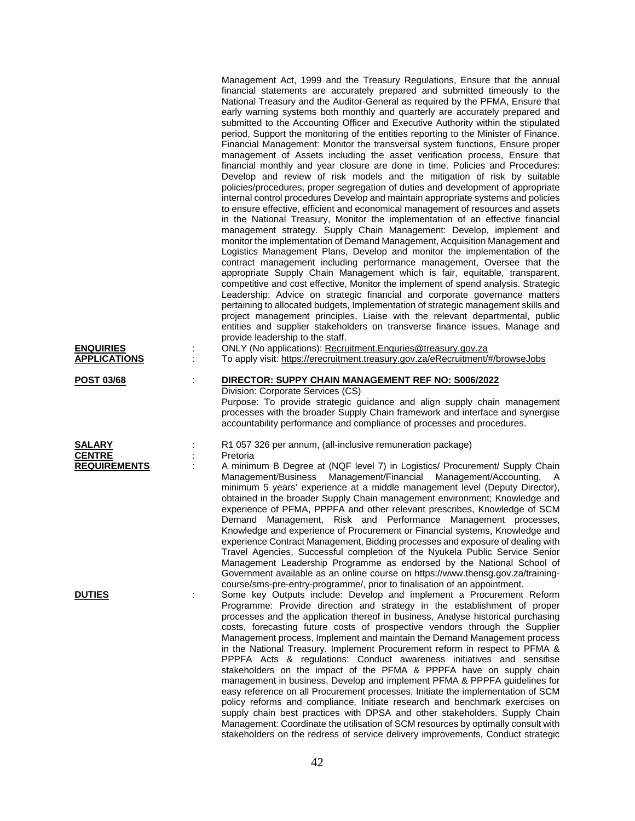| <b>ENQUIRIES</b><br><b>APPLICATIONS</b>               |   | Management Act, 1999 and the Treasury Regulations, Ensure that the annual<br>financial statements are accurately prepared and submitted timeously to the<br>National Treasury and the Auditor-General as required by the PFMA, Ensure that<br>early warning systems both monthly and quarterly are accurately prepared and<br>submitted to the Accounting Officer and Executive Authority within the stipulated<br>period, Support the monitoring of the entities reporting to the Minister of Finance.<br>Financial Management: Monitor the transversal system functions, Ensure proper<br>management of Assets including the asset verification process, Ensure that<br>financial monthly and year closure are done in time. Policies and Procedures:<br>Develop and review of risk models and the mitigation of risk by suitable<br>policies/procedures, proper segregation of duties and development of appropriate<br>internal control procedures Develop and maintain appropriate systems and policies<br>to ensure effective, efficient and economical management of resources and assets<br>in the National Treasury, Monitor the implementation of an effective financial<br>management strategy. Supply Chain Management: Develop, implement and<br>monitor the implementation of Demand Management, Acquisition Management and<br>Logistics Management Plans, Develop and monitor the implementation of the<br>contract management including performance management, Oversee that the<br>appropriate Supply Chain Management which is fair, equitable, transparent,<br>competitive and cost effective, Monitor the implement of spend analysis. Strategic<br>Leadership: Advice on strategic financial and corporate governance matters<br>pertaining to allocated budgets, Implementation of strategic management skills and<br>project management principles, Liaise with the relevant departmental, public<br>entities and supplier stakeholders on transverse finance issues, Manage and<br>provide leadership to the staff.<br>ONLY (No applications): Recruitment.Enquries@treasury.gov.za<br>To apply visit: https://erecruitment.treasury.gov.za/eRecruitment/#/browseJobs |
|-------------------------------------------------------|---|-----------------------------------------------------------------------------------------------------------------------------------------------------------------------------------------------------------------------------------------------------------------------------------------------------------------------------------------------------------------------------------------------------------------------------------------------------------------------------------------------------------------------------------------------------------------------------------------------------------------------------------------------------------------------------------------------------------------------------------------------------------------------------------------------------------------------------------------------------------------------------------------------------------------------------------------------------------------------------------------------------------------------------------------------------------------------------------------------------------------------------------------------------------------------------------------------------------------------------------------------------------------------------------------------------------------------------------------------------------------------------------------------------------------------------------------------------------------------------------------------------------------------------------------------------------------------------------------------------------------------------------------------------------------------------------------------------------------------------------------------------------------------------------------------------------------------------------------------------------------------------------------------------------------------------------------------------------------------------------------------------------------------------------------------------------------------------------------------------------------------------------------------------------------------------------------------|
| <b>POST 03/68</b>                                     | t | DIRECTOR: SUPPY CHAIN MANAGEMENT REF NO: S006/2022<br>Division: Corporate Services (CS)<br>Purpose: To provide strategic guidance and align supply chain management<br>processes with the broader Supply Chain framework and interface and synergise<br>accountability performance and compliance of processes and procedures.                                                                                                                                                                                                                                                                                                                                                                                                                                                                                                                                                                                                                                                                                                                                                                                                                                                                                                                                                                                                                                                                                                                                                                                                                                                                                                                                                                                                                                                                                                                                                                                                                                                                                                                                                                                                                                                                |
| <b>SALARY</b><br><b>CENTRE</b><br><b>REQUIREMENTS</b> |   | R1 057 326 per annum, (all-inclusive remuneration package)<br>Pretoria<br>A minimum B Degree at (NQF level 7) in Logistics/ Procurement/ Supply Chain<br>Management/Business Management/Financial Management/Accounting,<br>- A<br>minimum 5 years' experience at a middle management level (Deputy Director),<br>obtained in the broader Supply Chain management environment; Knowledge and<br>experience of PFMA, PPPFA and other relevant prescribes, Knowledge of SCM<br>Demand Management, Risk and Performance Management processes,<br>Knowledge and experience of Procurement or Financial systems, Knowledge and<br>experience Contract Management, Bidding processes and exposure of dealing with<br>Travel Agencies, Successful completion of the Nyukela Public Service Senior<br>Management Leadership Programme as endorsed by the National School of<br>Government available as an online course on https://www.thensg.gov.za/training-<br>course/sms-pre-entry-programme/, prior to finalisation of an appointment.                                                                                                                                                                                                                                                                                                                                                                                                                                                                                                                                                                                                                                                                                                                                                                                                                                                                                                                                                                                                                                                                                                                                                           |
| <b>DUTIES</b>                                         |   | Some key Outputs include: Develop and implement a Procurement Reform<br>Programme: Provide direction and strategy in the establishment of proper<br>processes and the application thereof in business, Analyse historical purchasing<br>costs, forecasting future costs of prospective vendors through the Supplier<br>Management process, Implement and maintain the Demand Management process<br>in the National Treasury. Implement Procurement reform in respect to PFMA &<br>PPPFA Acts & regulations: Conduct awareness initiatives and sensitise<br>stakeholders on the impact of the PFMA & PPPFA have on supply chain<br>management in business, Develop and implement PFMA & PPPFA guidelines for<br>easy reference on all Procurement processes, Initiate the implementation of SCM<br>policy reforms and compliance, Initiate research and benchmark exercises on<br>supply chain best practices with DPSA and other stakeholders. Supply Chain<br>Management: Coordinate the utilisation of SCM resources by optimally consult with<br>stakeholders on the redress of service delivery improvements, Conduct strategic                                                                                                                                                                                                                                                                                                                                                                                                                                                                                                                                                                                                                                                                                                                                                                                                                                                                                                                                                                                                                                                           |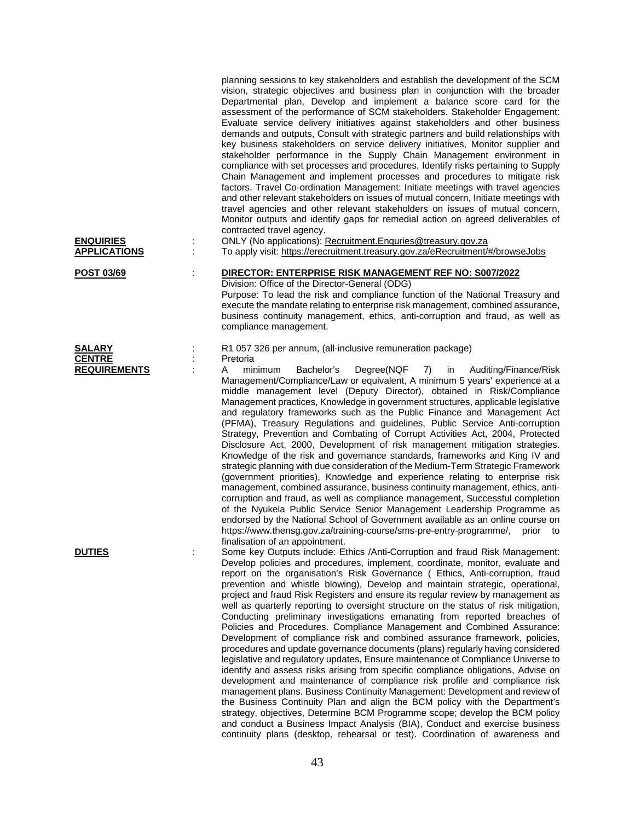| <b>ENQUIRIES</b><br><b>APPLICATIONS</b> |    | planning sessions to key stakeholders and establish the development of the SCM<br>vision, strategic objectives and business plan in conjunction with the broader<br>Departmental plan, Develop and implement a balance score card for the<br>assessment of the performance of SCM stakeholders. Stakeholder Engagement:<br>Evaluate service delivery initiatives against stakeholders and other business<br>demands and outputs, Consult with strategic partners and build relationships with<br>key business stakeholders on service delivery initiatives, Monitor supplier and<br>stakeholder performance in the Supply Chain Management environment in<br>compliance with set processes and procedures, Identify risks pertaining to Supply<br>Chain Management and implement processes and procedures to mitigate risk<br>factors. Travel Co-ordination Management: Initiate meetings with travel agencies<br>and other relevant stakeholders on issues of mutual concern, Initiate meetings with<br>travel agencies and other relevant stakeholders on issues of mutual concern,<br>Monitor outputs and identify gaps for remedial action on agreed deliverables of<br>contracted travel agency.<br>ONLY (No applications): Recruitment. Enquries@treasury.gov.za<br>To apply visit: https://erecruitment.treasury.gov.za/eRecruitment/#/browseJobs                                                                                                                                             |
|-----------------------------------------|----|------------------------------------------------------------------------------------------------------------------------------------------------------------------------------------------------------------------------------------------------------------------------------------------------------------------------------------------------------------------------------------------------------------------------------------------------------------------------------------------------------------------------------------------------------------------------------------------------------------------------------------------------------------------------------------------------------------------------------------------------------------------------------------------------------------------------------------------------------------------------------------------------------------------------------------------------------------------------------------------------------------------------------------------------------------------------------------------------------------------------------------------------------------------------------------------------------------------------------------------------------------------------------------------------------------------------------------------------------------------------------------------------------------------------------------------------------------------------------------------------------|
|                                         |    |                                                                                                                                                                                                                                                                                                                                                                                                                                                                                                                                                                                                                                                                                                                                                                                                                                                                                                                                                                                                                                                                                                                                                                                                                                                                                                                                                                                                                                                                                                      |
| POST 03/69                              | İ. | DIRECTOR: ENTERPRISE RISK MANAGEMENT REF NO: S007/2022<br>Division: Office of the Director-General (ODG)<br>Purpose: To lead the risk and compliance function of the National Treasury and<br>execute the mandate relating to enterprise risk management, combined assurance,<br>business continuity management, ethics, anti-corruption and fraud, as well as<br>compliance management.                                                                                                                                                                                                                                                                                                                                                                                                                                                                                                                                                                                                                                                                                                                                                                                                                                                                                                                                                                                                                                                                                                             |
| <b>SALARY</b>                           |    | R1 057 326 per annum, (all-inclusive remuneration package)                                                                                                                                                                                                                                                                                                                                                                                                                                                                                                                                                                                                                                                                                                                                                                                                                                                                                                                                                                                                                                                                                                                                                                                                                                                                                                                                                                                                                                           |
| <b>CENTRE</b><br><b>REQUIREMENTS</b>    |    | Pretoria<br>Bachelor's<br>Degree(NQF<br>minimum<br>7)<br>in<br>Auditing/Finance/Risk<br>A                                                                                                                                                                                                                                                                                                                                                                                                                                                                                                                                                                                                                                                                                                                                                                                                                                                                                                                                                                                                                                                                                                                                                                                                                                                                                                                                                                                                            |
|                                         |    | Management/Compliance/Law or equivalent, A minimum 5 years' experience at a<br>middle management level (Deputy Director), obtained in Risk/Compliance<br>Management practices, Knowledge in government structures, applicable legislative<br>and regulatory frameworks such as the Public Finance and Management Act<br>(PFMA), Treasury Regulations and guidelines, Public Service Anti-corruption<br>Strategy, Prevention and Combating of Corrupt Activities Act, 2004, Protected<br>Disclosure Act, 2000, Development of risk management mitigation strategies.<br>Knowledge of the risk and governance standards, frameworks and King IV and<br>strategic planning with due consideration of the Medium-Term Strategic Framework<br>(government priorities), Knowledge and experience relating to enterprise risk<br>management, combined assurance, business continuity management, ethics, anti-<br>corruption and fraud, as well as compliance management, Successful completion<br>of the Nyukela Public Service Senior Management Leadership Programme as<br>endorsed by the National School of Government available as an online course on<br>https://www.thensg.gov.za/training-course/sms-pre-entry-programme/,<br>prior to<br>finalisation of an appointment.                                                                                                                                                                                                                          |
| <b>DUTIES</b>                           |    | Some key Outputs include: Ethics /Anti-Corruption and fraud Risk Management:<br>Develop policies and procedures, implement, coordinate, monitor, evaluate and<br>report on the organisation's Risk Governance ( Ethics, Anti-corruption, fraud<br>prevention and whistle blowing), Develop and maintain strategic, operational,<br>project and fraud Risk Registers and ensure its regular review by management as<br>well as quarterly reporting to oversight structure on the status of risk mitigation,<br>Conducting preliminary investigations emanating from reported breaches of<br>Policies and Procedures. Compliance Management and Combined Assurance:<br>Development of compliance risk and combined assurance framework, policies,<br>procedures and update governance documents (plans) regularly having considered<br>legislative and regulatory updates, Ensure maintenance of Compliance Universe to<br>identify and assess risks arising from specific compliance obligations, Advise on<br>development and maintenance of compliance risk profile and compliance risk<br>management plans. Business Continuity Management: Development and review of<br>the Business Continuity Plan and align the BCM policy with the Department's<br>strategy, objectives, Determine BCM Programme scope; develop the BCM policy<br>and conduct a Business Impact Analysis (BIA), Conduct and exercise business<br>continuity plans (desktop, rehearsal or test). Coordination of awareness and |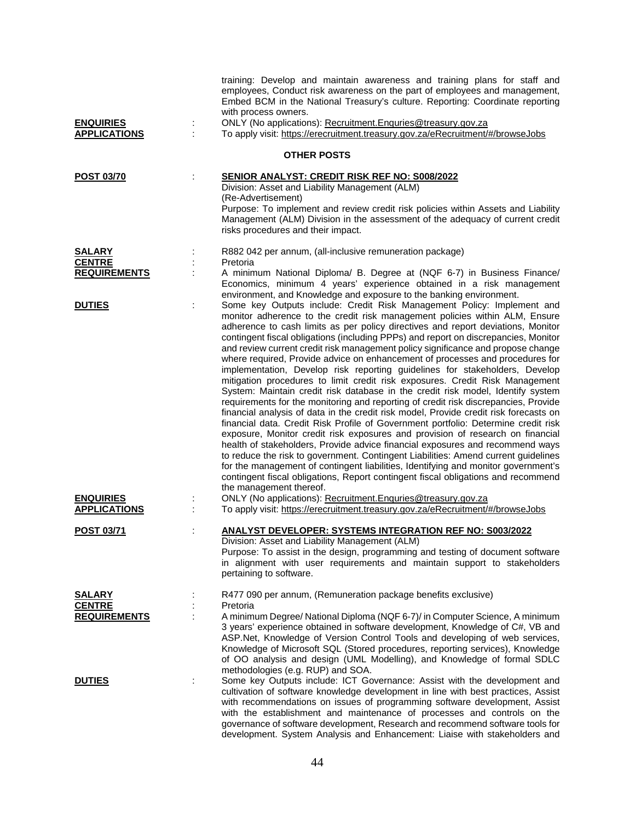| <b>ENQUIRIES</b><br><b>APPLICATIONS</b>               | training: Develop and maintain awareness and training plans for staff and<br>employees, Conduct risk awareness on the part of employees and management,<br>Embed BCM in the National Treasury's culture. Reporting: Coordinate reporting<br>with process owners.<br>ONLY (No applications): Recruitment. Enquries@treasury.gov.za                                                                                                                                                                                                                                                                                                                                                                                                                                                                                                                                                                                                                                                                                                                                                                                                                                                                                                                                                                                                                                                                                                                                                            |  |
|-------------------------------------------------------|----------------------------------------------------------------------------------------------------------------------------------------------------------------------------------------------------------------------------------------------------------------------------------------------------------------------------------------------------------------------------------------------------------------------------------------------------------------------------------------------------------------------------------------------------------------------------------------------------------------------------------------------------------------------------------------------------------------------------------------------------------------------------------------------------------------------------------------------------------------------------------------------------------------------------------------------------------------------------------------------------------------------------------------------------------------------------------------------------------------------------------------------------------------------------------------------------------------------------------------------------------------------------------------------------------------------------------------------------------------------------------------------------------------------------------------------------------------------------------------------|--|
|                                                       | To apply visit: https://erecruitment.treasury.gov.za/eRecruitment/#/browseJobs                                                                                                                                                                                                                                                                                                                                                                                                                                                                                                                                                                                                                                                                                                                                                                                                                                                                                                                                                                                                                                                                                                                                                                                                                                                                                                                                                                                                               |  |
|                                                       | <b>OTHER POSTS</b>                                                                                                                                                                                                                                                                                                                                                                                                                                                                                                                                                                                                                                                                                                                                                                                                                                                                                                                                                                                                                                                                                                                                                                                                                                                                                                                                                                                                                                                                           |  |
| <b>POST 03/70</b>                                     | SENIOR ANALYST: CREDIT RISK REF NO: S008/2022<br>Division: Asset and Liability Management (ALM)<br>(Re-Advertisement)<br>Purpose: To implement and review credit risk policies within Assets and Liability<br>Management (ALM) Division in the assessment of the adequacy of current credit<br>risks procedures and their impact.                                                                                                                                                                                                                                                                                                                                                                                                                                                                                                                                                                                                                                                                                                                                                                                                                                                                                                                                                                                                                                                                                                                                                            |  |
| <b>SALARY</b><br><b>CENTRE</b><br><b>REQUIREMENTS</b> | R882 042 per annum, (all-inclusive remuneration package)<br>Pretoria<br>A minimum National Diploma/ B. Degree at (NQF 6-7) in Business Finance/<br>Economics, minimum 4 years' experience obtained in a risk management<br>environment, and Knowledge and exposure to the banking environment.                                                                                                                                                                                                                                                                                                                                                                                                                                                                                                                                                                                                                                                                                                                                                                                                                                                                                                                                                                                                                                                                                                                                                                                               |  |
| <b>DUTIES</b>                                         | Some key Outputs include: Credit Risk Management Policy: Implement and<br>monitor adherence to the credit risk management policies within ALM, Ensure<br>adherence to cash limits as per policy directives and report deviations, Monitor<br>contingent fiscal obligations (including PPPs) and report on discrepancies, Monitor<br>and review current credit risk management policy significance and propose change<br>where required, Provide advice on enhancement of processes and procedures for<br>implementation, Develop risk reporting guidelines for stakeholders, Develop<br>mitigation procedures to limit credit risk exposures. Credit Risk Management<br>System: Maintain credit risk database in the credit risk model, Identify system<br>requirements for the monitoring and reporting of credit risk discrepancies, Provide<br>financial analysis of data in the credit risk model, Provide credit risk forecasts on<br>financial data. Credit Risk Profile of Government portfolio: Determine credit risk<br>exposure, Monitor credit risk exposures and provision of research on financial<br>health of stakeholders, Provide advice financial exposures and recommend ways<br>to reduce the risk to government. Contingent Liabilities: Amend current guidelines<br>for the management of contingent liabilities, Identifying and monitor government's<br>contingent fiscal obligations, Report contingent fiscal obligations and recommend<br>the management thereof. |  |
| <b>ENQUIRIES</b><br><b>APPLICATIONS</b>               | ONLY (No applications): Recruitment. Enquries@treasury.gov.za<br>To apply visit: https://erecruitment.treasury.gov.za/eRecruitment/#/browseJobs                                                                                                                                                                                                                                                                                                                                                                                                                                                                                                                                                                                                                                                                                                                                                                                                                                                                                                                                                                                                                                                                                                                                                                                                                                                                                                                                              |  |
| <b>POST 03/71</b>                                     | <u>ANALYST DEVELOPER: SYSTEMS INTEGRATION REF NO: S003/2022</u><br>Division: Asset and Liability Management (ALM)<br>Purpose: To assist in the design, programming and testing of document software<br>in alignment with user requirements and maintain support to stakeholders<br>pertaining to software.                                                                                                                                                                                                                                                                                                                                                                                                                                                                                                                                                                                                                                                                                                                                                                                                                                                                                                                                                                                                                                                                                                                                                                                   |  |
| <b>SALARY</b><br><b>CENTRE</b><br><b>REQUIREMENTS</b> | R477 090 per annum, (Remuneration package benefits exclusive)<br>Pretoria<br>A minimum Degree/ National Diploma (NQF 6-7)/ in Computer Science, A minimum<br>3 years' experience obtained in software development, Knowledge of C#, VB and<br>ASP.Net, Knowledge of Version Control Tools and developing of web services,<br>Knowledge of Microsoft SQL (Stored procedures, reporting services), Knowledge<br>of OO analysis and design (UML Modelling), and Knowledge of formal SDLC<br>methodologies (e.g. RUP) and SOA.                                                                                                                                                                                                                                                                                                                                                                                                                                                                                                                                                                                                                                                                                                                                                                                                                                                                                                                                                                   |  |
| <b>DUTIES</b>                                         | Some key Outputs include: ICT Governance: Assist with the development and<br>cultivation of software knowledge development in line with best practices, Assist<br>with recommendations on issues of programming software development, Assist<br>with the establishment and maintenance of processes and controls on the<br>governance of software development, Research and recommend software tools for<br>development. System Analysis and Enhancement: Liaise with stakeholders and                                                                                                                                                                                                                                                                                                                                                                                                                                                                                                                                                                                                                                                                                                                                                                                                                                                                                                                                                                                                       |  |